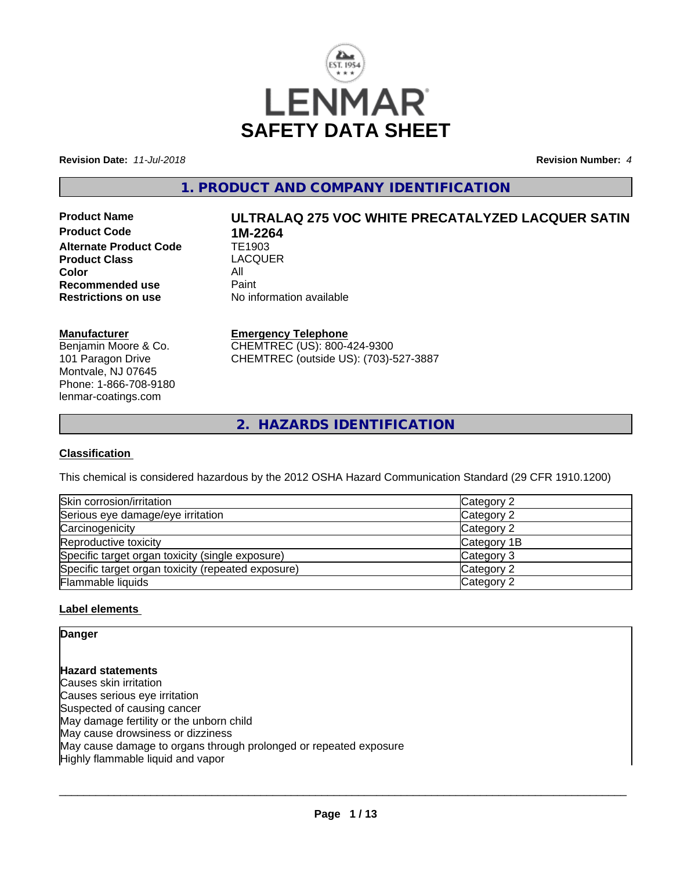

**Revision Date:** *11-Jul-2018* **Revision Number:** *4*

**1. PRODUCT AND COMPANY IDENTIFICATION**

**Product Code 1M-2264**<br>**Alternate Product Code 11 TE1903 Alternate Product Code Product Class** LACQUER **Color** All<br> **Recommended use** Paint **Recommended use**<br>Restrictions on use

# **Product Name ULTRALAQ 275 VOC WHITE PRECATALYZED LACQUER SATIN**

**No information available** 

# **Manufacturer**

Benjamin Moore & Co. 101 Paragon Drive Montvale, NJ 07645 Phone: 1-866-708-9180 lenmar-coatings.com

# **Emergency Telephone**

CHEMTREC (US): 800-424-9300 CHEMTREC (outside US): (703)-527-3887

**2. HAZARDS IDENTIFICATION**

# **Classification**

This chemical is considered hazardous by the 2012 OSHA Hazard Communication Standard (29 CFR 1910.1200)

| Skin corrosion/irritation                          | Category 2  |
|----------------------------------------------------|-------------|
| Serious eye damage/eye irritation                  | Category 2  |
| Carcinogenicity                                    | Category 2  |
| Reproductive toxicity                              | Category 1B |
| Specific target organ toxicity (single exposure)   | Category 3  |
| Specific target organ toxicity (repeated exposure) | Category 2  |
| Flammable liquids                                  | Category 2  |

# **Label elements**

# **Danger**

**Hazard statements** Causes skin irritation Causes serious eye irritation Suspected of causing cancer May damage fertility or the unborn child May cause drowsiness or dizziness May cause damage to organs through prolonged or repeated exposure Highly flammable liquid and vapor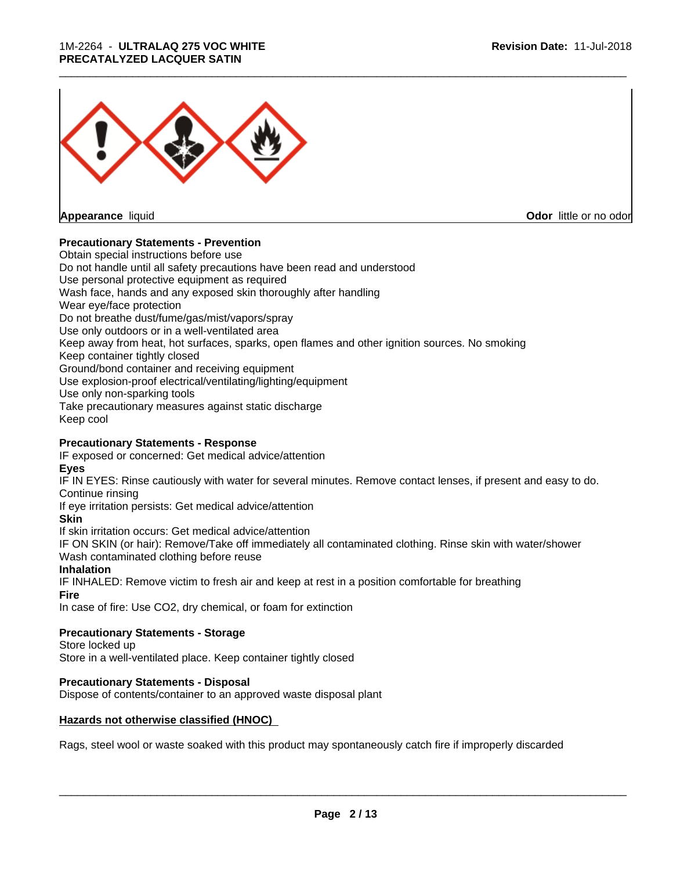## 1M-2264 - **ULTRALAQ 275 VOC WHITE PRECATALYZED LACQUER SATIN**



**Appearance** liquid **Contract Contract Contract Contract Contract Contract Contract Contract Contract Contract Contract Contract Contract Contract Contract Contract Contract Contract Contract Contract Contract Contract Con** 

## **Precautionary Statements - Prevention**

Obtain special instructions before use Do not handle until all safety precautions have been read and understood Use personal protective equipment as required Wash face, hands and any exposed skin thoroughly after handling Wear eye/face protection Do not breathe dust/fume/gas/mist/vapors/spray Use only outdoors or in a well-ventilated area Keep away from heat, hot surfaces, sparks, open flames and other ignition sources. No smoking Keep container tightly closed Ground/bond container and receiving equipment Use explosion-proof electrical/ventilating/lighting/equipment Use only non-sparking tools Take precautionary measures against static discharge Keep cool

## **Precautionary Statements - Response**

IF exposed or concerned: Get medical advice/attention

**Eyes**

IF IN EYES: Rinse cautiously with water forseveral minutes. Remove contact lenses, if present and easy to do. Continue rinsing

\_\_\_\_\_\_\_\_\_\_\_\_\_\_\_\_\_\_\_\_\_\_\_\_\_\_\_\_\_\_\_\_\_\_\_\_\_\_\_\_\_\_\_\_\_\_\_\_\_\_\_\_\_\_\_\_\_\_\_\_\_\_\_\_\_\_\_\_\_\_\_\_\_\_\_\_\_\_\_\_\_\_\_\_\_\_\_\_\_\_\_\_\_

If eye irritation persists: Get medical advice/attention

# **Skin**

If skin irritation occurs: Get medical advice/attention

IF ON SKIN (or hair): Remove/Take off immediately all contaminated clothing. Rinse skin with water/shower Wash contaminated clothing before reuse

# **Inhalation**

IF INHALED: Remove victim to fresh air and keep at rest in a position comfortable for breathing

## **Fire**

In case of fire: Use CO2, dry chemical, or foam for extinction

# **Precautionary Statements - Storage**

Store locked up

Store in a well-ventilated place. Keep container tightly closed

# **Precautionary Statements - Disposal**

Dispose of contents/container to an approved waste disposal plant

# **Hazards not otherwise classified (HNOC)**

Rags, steel wool or waste soaked with this product may spontaneously catch fire if improperly discarded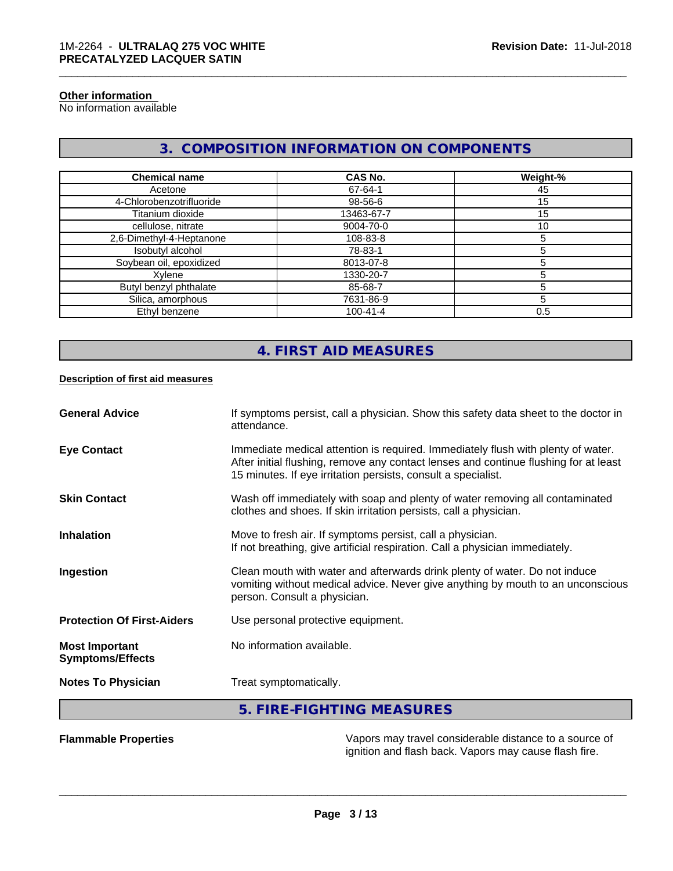# **Other information**

No information available

# **3. COMPOSITION INFORMATION ON COMPONENTS**

\_\_\_\_\_\_\_\_\_\_\_\_\_\_\_\_\_\_\_\_\_\_\_\_\_\_\_\_\_\_\_\_\_\_\_\_\_\_\_\_\_\_\_\_\_\_\_\_\_\_\_\_\_\_\_\_\_\_\_\_\_\_\_\_\_\_\_\_\_\_\_\_\_\_\_\_\_\_\_\_\_\_\_\_\_\_\_\_\_\_\_\_\_

| <b>Chemical name</b>     | CAS No.        | Weight-% |
|--------------------------|----------------|----------|
| Acetone                  | 67-64-1        | 45       |
| 4-Chlorobenzotrifluoride | 98-56-6        | 15       |
| Titanium dioxide         | 13463-67-7     | 15       |
| cellulose, nitrate       | 9004-70-0      | 10       |
| 2,6-Dimethyl-4-Heptanone | 108-83-8       |          |
| Isobutyl alcohol         | 78-83-1        |          |
| Soybean oil, epoxidized  | 8013-07-8      |          |
| Xylene                   | 1330-20-7      |          |
| Butyl benzyl phthalate   | 85-68-7        |          |
| Silica, amorphous        | 7631-86-9      | h        |
| Ethyl benzene            | $100 - 41 - 4$ | 0.5      |

# **4. FIRST AID MEASURES**

## **Description of first aid measures**

| <b>General Advice</b>                            | If symptoms persist, call a physician. Show this safety data sheet to the doctor in<br>attendance.                                                                                                                                        |
|--------------------------------------------------|-------------------------------------------------------------------------------------------------------------------------------------------------------------------------------------------------------------------------------------------|
| <b>Eye Contact</b>                               | Immediate medical attention is required. Immediately flush with plenty of water.<br>After initial flushing, remove any contact lenses and continue flushing for at least<br>15 minutes. If eye irritation persists, consult a specialist. |
| <b>Skin Contact</b>                              | Wash off immediately with soap and plenty of water removing all contaminated<br>clothes and shoes. If skin irritation persists, call a physician.                                                                                         |
| <b>Inhalation</b>                                | Move to fresh air. If symptoms persist, call a physician.<br>If not breathing, give artificial respiration. Call a physician immediately.                                                                                                 |
| Ingestion                                        | Clean mouth with water and afterwards drink plenty of water. Do not induce<br>vomiting without medical advice. Never give anything by mouth to an unconscious<br>person. Consult a physician.                                             |
| <b>Protection Of First-Aiders</b>                | Use personal protective equipment.                                                                                                                                                                                                        |
| <b>Most Important</b><br><b>Symptoms/Effects</b> | No information available.                                                                                                                                                                                                                 |
| <b>Notes To Physician</b>                        | Treat symptomatically.                                                                                                                                                                                                                    |
|                                                  | 5. FIRE-FIGHTING MEASURES                                                                                                                                                                                                                 |

**Flammable Properties** Vapors may travel considerable distance to a source of ignition and flash back. Vapors may cause flash fire.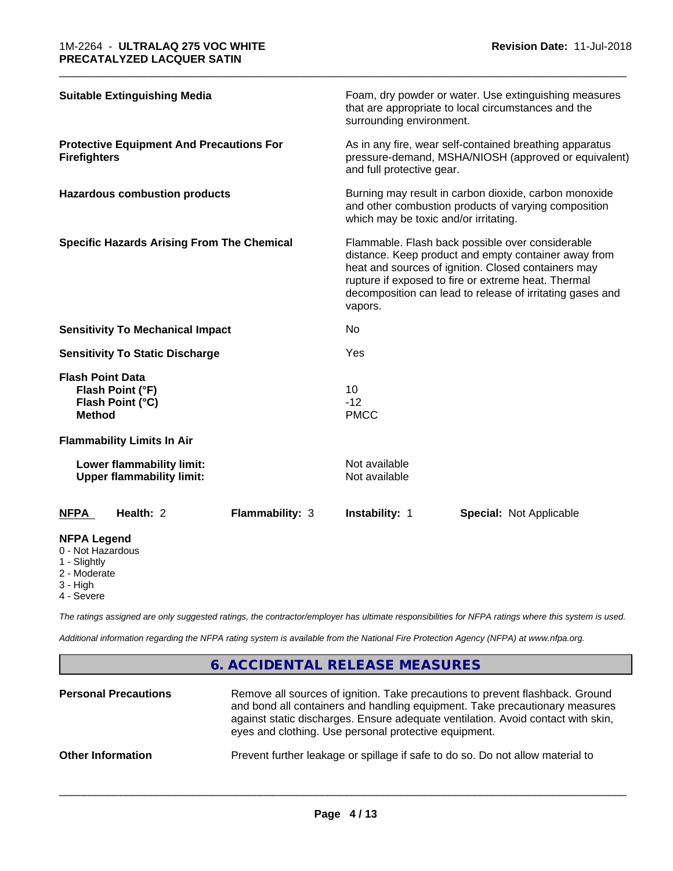| <b>Suitable Extinguishing Media</b>                                                 |                        | surrounding environment.                                                                                                                                                                                                                                                                       | Foam, dry powder or water. Use extinguishing measures<br>that are appropriate to local circumstances and the |  |
|-------------------------------------------------------------------------------------|------------------------|------------------------------------------------------------------------------------------------------------------------------------------------------------------------------------------------------------------------------------------------------------------------------------------------|--------------------------------------------------------------------------------------------------------------|--|
| <b>Protective Equipment And Precautions For</b><br><b>Firefighters</b>              |                        | As in any fire, wear self-contained breathing apparatus<br>pressure-demand, MSHA/NIOSH (approved or equivalent)<br>and full protective gear.                                                                                                                                                   |                                                                                                              |  |
| <b>Hazardous combustion products</b>                                                |                        | Burning may result in carbon dioxide, carbon monoxide<br>and other combustion products of varying composition<br>which may be toxic and/or irritating.                                                                                                                                         |                                                                                                              |  |
| <b>Specific Hazards Arising From The Chemical</b>                                   |                        | Flammable. Flash back possible over considerable<br>distance. Keep product and empty container away from<br>heat and sources of ignition. Closed containers may<br>rupture if exposed to fire or extreme heat. Thermal<br>decomposition can lead to release of irritating gases and<br>vapors. |                                                                                                              |  |
| <b>Sensitivity To Mechanical Impact</b>                                             |                        | No.                                                                                                                                                                                                                                                                                            |                                                                                                              |  |
| <b>Sensitivity To Static Discharge</b>                                              |                        | Yes                                                                                                                                                                                                                                                                                            |                                                                                                              |  |
| <b>Flash Point Data</b><br>Flash Point (°F)<br>Flash Point (°C)<br><b>Method</b>    |                        | 10<br>$-12$<br><b>PMCC</b>                                                                                                                                                                                                                                                                     |                                                                                                              |  |
| <b>Flammability Limits In Air</b>                                                   |                        |                                                                                                                                                                                                                                                                                                |                                                                                                              |  |
| Lower flammability limit:<br><b>Upper flammability limit:</b>                       |                        | Not available<br>Not available                                                                                                                                                                                                                                                                 |                                                                                                              |  |
| Health: 2<br>NFPA                                                                   | <b>Flammability: 3</b> | Instability: 1                                                                                                                                                                                                                                                                                 | <b>Special: Not Applicable</b>                                                                               |  |
| <b>NFPA Legend</b><br>0 - Not Hazardous<br>1 - Slightly<br>2 - Moderate<br>3 - High |                        |                                                                                                                                                                                                                                                                                                |                                                                                                              |  |

\_\_\_\_\_\_\_\_\_\_\_\_\_\_\_\_\_\_\_\_\_\_\_\_\_\_\_\_\_\_\_\_\_\_\_\_\_\_\_\_\_\_\_\_\_\_\_\_\_\_\_\_\_\_\_\_\_\_\_\_\_\_\_\_\_\_\_\_\_\_\_\_\_\_\_\_\_\_\_\_\_\_\_\_\_\_\_\_\_\_\_\_\_

4 - Severe

*The ratings assigned are only suggested ratings, the contractor/employer has ultimate responsibilities for NFPA ratings where this system is used.*

*Additional information regarding the NFPA rating system is available from the National Fire Protection Agency (NFPA) at www.nfpa.org.*

# **6. ACCIDENTAL RELEASE MEASURES**

| <b>Personal Precautions</b> | Remove all sources of ignition. Take precautions to prevent flashback. Ground<br>and bond all containers and handling equipment. Take precautionary measures<br>against static discharges. Ensure adequate ventilation. Avoid contact with skin,<br>eyes and clothing. Use personal protective equipment. |
|-----------------------------|-----------------------------------------------------------------------------------------------------------------------------------------------------------------------------------------------------------------------------------------------------------------------------------------------------------|
| <b>Other Information</b>    | Prevent further leakage or spillage if safe to do so. Do not allow material to                                                                                                                                                                                                                            |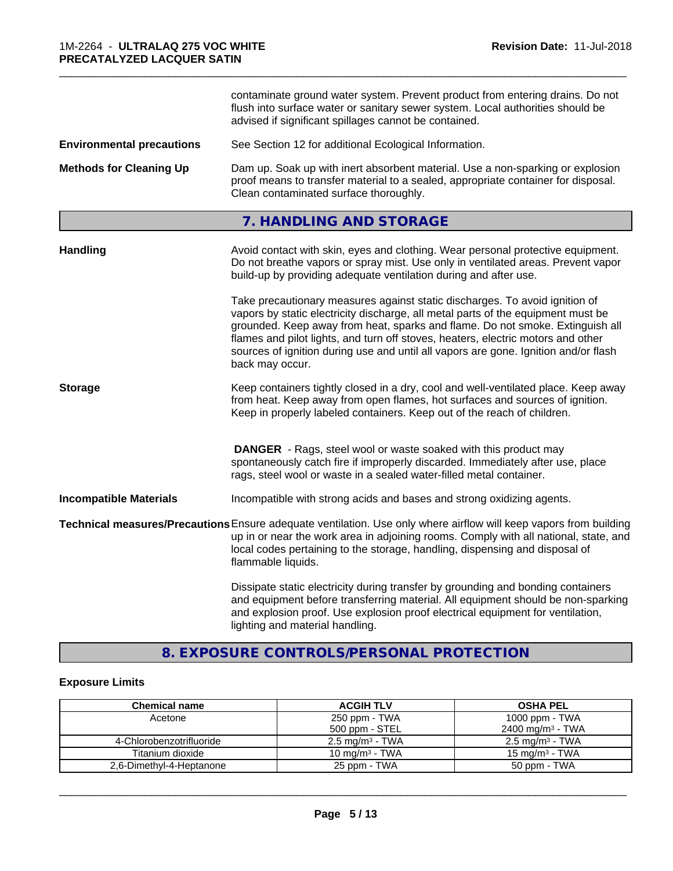|                                  | contaminate ground water system. Prevent product from entering drains. Do not<br>flush into surface water or sanitary sewer system. Local authorities should be<br>advised if significant spillages cannot be contained.                                                                                                                                                                                                                       |  |  |
|----------------------------------|------------------------------------------------------------------------------------------------------------------------------------------------------------------------------------------------------------------------------------------------------------------------------------------------------------------------------------------------------------------------------------------------------------------------------------------------|--|--|
| <b>Environmental precautions</b> | See Section 12 for additional Ecological Information.                                                                                                                                                                                                                                                                                                                                                                                          |  |  |
| <b>Methods for Cleaning Up</b>   | Dam up. Soak up with inert absorbent material. Use a non-sparking or explosion<br>proof means to transfer material to a sealed, appropriate container for disposal.<br>Clean contaminated surface thoroughly.                                                                                                                                                                                                                                  |  |  |
|                                  | 7. HANDLING AND STORAGE                                                                                                                                                                                                                                                                                                                                                                                                                        |  |  |
| <b>Handling</b>                  | Avoid contact with skin, eyes and clothing. Wear personal protective equipment.<br>Do not breathe vapors or spray mist. Use only in ventilated areas. Prevent vapor<br>build-up by providing adequate ventilation during and after use.                                                                                                                                                                                                        |  |  |
|                                  | Take precautionary measures against static discharges. To avoid ignition of<br>vapors by static electricity discharge, all metal parts of the equipment must be<br>grounded. Keep away from heat, sparks and flame. Do not smoke. Extinguish all<br>flames and pilot lights, and turn off stoves, heaters, electric motors and other<br>sources of ignition during use and until all vapors are gone. Ignition and/or flash<br>back may occur. |  |  |
| <b>Storage</b>                   | Keep containers tightly closed in a dry, cool and well-ventilated place. Keep away<br>from heat. Keep away from open flames, hot surfaces and sources of ignition.<br>Keep in properly labeled containers. Keep out of the reach of children.                                                                                                                                                                                                  |  |  |
|                                  | <b>DANGER</b> - Rags, steel wool or waste soaked with this product may<br>spontaneously catch fire if improperly discarded. Immediately after use, place<br>rags, steel wool or waste in a sealed water-filled metal container.                                                                                                                                                                                                                |  |  |
| <b>Incompatible Materials</b>    | Incompatible with strong acids and bases and strong oxidizing agents.                                                                                                                                                                                                                                                                                                                                                                          |  |  |
|                                  | Technical measures/Precautions Ensure adequate ventilation. Use only where airflow will keep vapors from building<br>up in or near the work area in adjoining rooms. Comply with all national, state, and<br>local codes pertaining to the storage, handling, dispensing and disposal of<br>flammable liquids.                                                                                                                                 |  |  |
|                                  | Dissipate static electricity during transfer by grounding and bonding containers<br>and equipment before transferring material. All equipment should be non-sparking<br>and explosion proof. Use explosion proof electrical equipment for ventilation,<br>lighting and material handling.                                                                                                                                                      |  |  |

\_\_\_\_\_\_\_\_\_\_\_\_\_\_\_\_\_\_\_\_\_\_\_\_\_\_\_\_\_\_\_\_\_\_\_\_\_\_\_\_\_\_\_\_\_\_\_\_\_\_\_\_\_\_\_\_\_\_\_\_\_\_\_\_\_\_\_\_\_\_\_\_\_\_\_\_\_\_\_\_\_\_\_\_\_\_\_\_\_\_\_\_\_

# **8. EXPOSURE CONTROLS/PERSONAL PROTECTION**

# **Exposure Limits**

| <b>Chemical name</b>     | <b>ACGIH TLV</b>           | <b>OSHA PEL</b>              |
|--------------------------|----------------------------|------------------------------|
| Acetone                  | 250 ppm - TWA              | 1000 ppm - TWA               |
|                          | 500 ppm - STEL             | 2400 mg/m <sup>3</sup> - TWA |
| 4-Chlorobenzotrifluoride | $2.5 \text{ mg/m}^3$ - TWA | $2.5 \text{ mg/m}^3$ - TWA   |
| Titanium dioxide         | 10 mg/m $3$ - TWA          | 15 mg/m $3$ - TWA            |
| 2,6-Dimethyl-4-Heptanone | 25 ppm - TWA               | 50 ppm - TWA                 |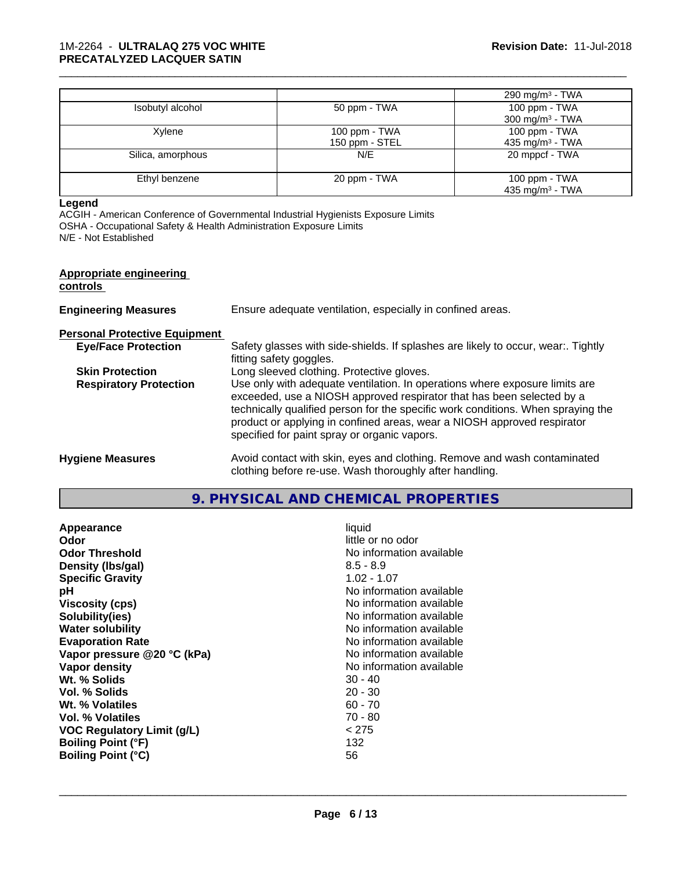|                   |                                 | 290 mg/m $3$ - TWA                           |
|-------------------|---------------------------------|----------------------------------------------|
| Isobutyl alcohol  | 50 ppm - TWA                    | 100 ppm - TWA<br>300 mg/m $3$ - TWA          |
| Xylene            | 100 ppm - TWA<br>150 ppm - STEL | 100 ppm - TWA<br>435 mg/m <sup>3</sup> - TWA |
| Silica, amorphous | N/E                             | 20 mppcf - TWA                               |
| Ethyl benzene     | 20 ppm - TWA                    | 100 ppm - TWA<br>435 mg/m <sup>3</sup> - TWA |

\_\_\_\_\_\_\_\_\_\_\_\_\_\_\_\_\_\_\_\_\_\_\_\_\_\_\_\_\_\_\_\_\_\_\_\_\_\_\_\_\_\_\_\_\_\_\_\_\_\_\_\_\_\_\_\_\_\_\_\_\_\_\_\_\_\_\_\_\_\_\_\_\_\_\_\_\_\_\_\_\_\_\_\_\_\_\_\_\_\_\_\_\_

#### **Legend**

ACGIH - American Conference of Governmental Industrial Hygienists Exposure Limits OSHA - Occupational Safety & Health Administration Exposure Limits N/E - Not Established

# **Appropriate engineering**

# **controls**

| <b>Engineering Measures</b> | Ensure adequate ventilation, especially in confined areas. |
|-----------------------------|------------------------------------------------------------|
|-----------------------------|------------------------------------------------------------|

**Personal Protective Equipment**

| Safety glasses with side-shields. If splashes are likely to occur, wear Tightly                                                                             |
|-------------------------------------------------------------------------------------------------------------------------------------------------------------|
| fitting safety goggles.                                                                                                                                     |
| Long sleeved clothing. Protective gloves.                                                                                                                   |
| Use only with adequate ventilation. In operations where exposure limits are                                                                                 |
| exceeded, use a NIOSH approved respirator that has been selected by a                                                                                       |
| technically qualified person for the specific work conditions. When spraying the<br>product or applying in confined areas, wear a NIOSH approved respirator |
| specified for paint spray or organic vapors.                                                                                                                |
| Avoid contact with skin, eyes and clothing. Remove and wash contaminated                                                                                    |
|                                                                                                                                                             |

clothing before re-use. Wash thoroughly after handling.

# **9. PHYSICAL AND CHEMICAL PROPERTIES**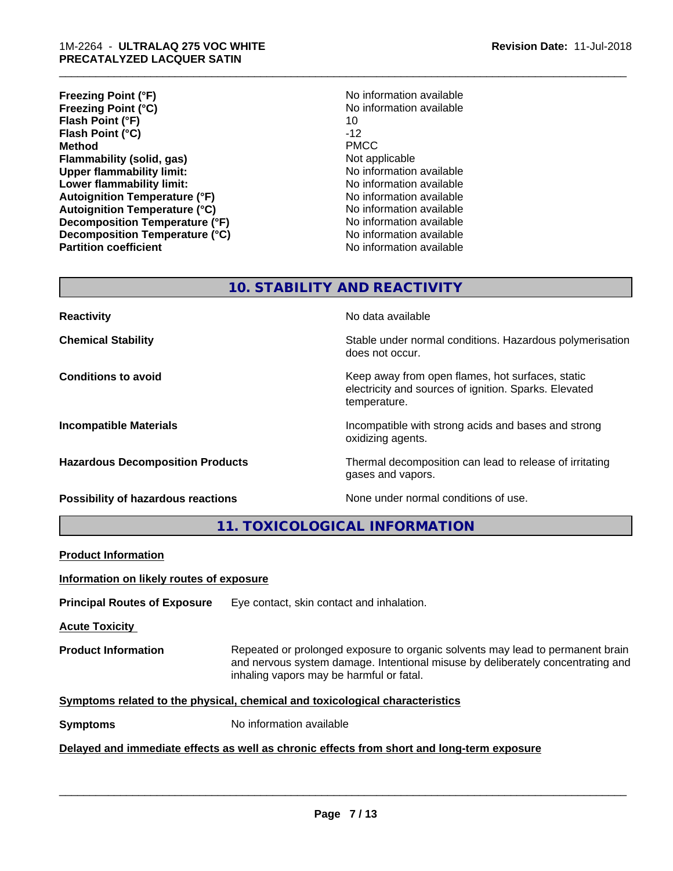- **Freezing Point (°F)**<br> **Freezing Point (°C)**<br> **Freezing Point (°C)**<br> **No** information available **Freezing Point (°C)** No information available to the No information and No information and No information and N<br>Flash Point (°F) 10 **Flash Point (°F)** 10 **Flash Point (°C)** -12 **Method** PMCC **Flammability (solid, gas)** Not applicable **Upper flammability limit:**<br> **Lower flammability limit:** No information available<br>
No information available **Lower flammability limit:**<br> **Autoignition Temperature (°F)** No information available<br>
No information available **Autoignition Temperature (°F) Autoignition Temperature (°C)** No information available **Decomposition Temperature (°F)** No information available **Decomposition Temperature (°C)** No information available **Partition coefficient Contract Community No information available**
- \_\_\_\_\_\_\_\_\_\_\_\_\_\_\_\_\_\_\_\_\_\_\_\_\_\_\_\_\_\_\_\_\_\_\_\_\_\_\_\_\_\_\_\_\_\_\_\_\_\_\_\_\_\_\_\_\_\_\_\_\_\_\_\_\_\_\_\_\_\_\_\_\_\_\_\_\_\_\_\_\_\_\_\_\_\_\_\_\_\_\_\_\_

# **10. STABILITY AND REACTIVITY**

**Possibility of hazardous reactions** None under normal conditions of use.

**Reactivity No data available No data available** 

**Chemical Stability Stability** Stable under normal conditions. Hazardous polymerisation does not occur.

**Conditions to avoid Keep away from open flames, hot surfaces, static conditions to avoid** electricity and sources of ignition. Sparks. Elevated temperature.

**Incompatible Materials Incompatible with strong acids and bases and strong** oxidizing agents.

**Hazardous Decomposition Products** Thermal decomposition can lead to release of irritating gases and vapors.

**11. TOXICOLOGICAL INFORMATION**

| <b>Product Information</b>                                                                 |                                                                                                                                                                                                               |  |
|--------------------------------------------------------------------------------------------|---------------------------------------------------------------------------------------------------------------------------------------------------------------------------------------------------------------|--|
| Information on likely routes of exposure                                                   |                                                                                                                                                                                                               |  |
| <b>Principal Routes of Exposure</b>                                                        | Eye contact, skin contact and inhalation.                                                                                                                                                                     |  |
| <b>Acute Toxicity</b>                                                                      |                                                                                                                                                                                                               |  |
| <b>Product Information</b>                                                                 | Repeated or prolonged exposure to organic solvents may lead to permanent brain<br>and nervous system damage. Intentional misuse by deliberately concentrating and<br>inhaling vapors may be harmful or fatal. |  |
|                                                                                            | Symptoms related to the physical, chemical and toxicological characteristics                                                                                                                                  |  |
| <b>Symptoms</b>                                                                            | No information available                                                                                                                                                                                      |  |
| Delayed and immediate effects as well as chronic effects from short and long-term exposure |                                                                                                                                                                                                               |  |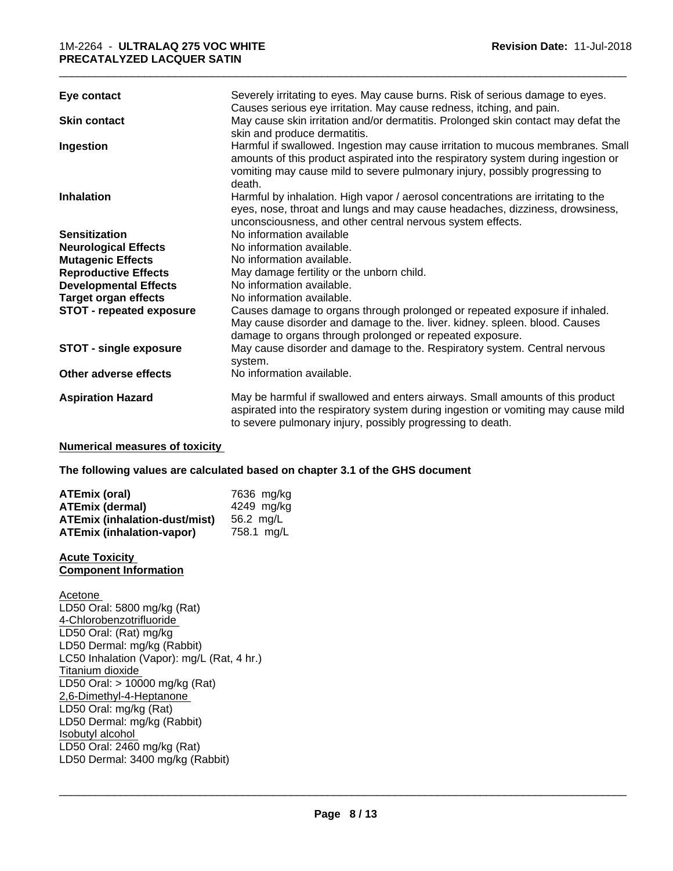# 1M-2264 - **ULTRALAQ 275 VOC WHITE PRECATALYZED LACQUER SATIN**

| Eye contact                                                                                                                                                                                                                                                                           | Severely irritating to eyes. May cause burns. Risk of serious damage to eyes.                                                                                                                                                                                                                                                                         |
|---------------------------------------------------------------------------------------------------------------------------------------------------------------------------------------------------------------------------------------------------------------------------------------|-------------------------------------------------------------------------------------------------------------------------------------------------------------------------------------------------------------------------------------------------------------------------------------------------------------------------------------------------------|
| <b>Skin contact</b>                                                                                                                                                                                                                                                                   | Causes serious eye irritation. May cause redness, itching, and pain.<br>May cause skin irritation and/or dermatitis. Prolonged skin contact may defat the<br>skin and produce dermatitis.                                                                                                                                                             |
| Ingestion                                                                                                                                                                                                                                                                             | Harmful if swallowed. Ingestion may cause irritation to mucous membranes. Small<br>amounts of this product aspirated into the respiratory system during ingestion or<br>vomiting may cause mild to severe pulmonary injury, possibly progressing to<br>death.                                                                                         |
| <b>Inhalation</b>                                                                                                                                                                                                                                                                     | Harmful by inhalation. High vapor / aerosol concentrations are irritating to the<br>eyes, nose, throat and lungs and may cause headaches, dizziness, drowsiness,<br>unconsciousness, and other central nervous system effects.                                                                                                                        |
| <b>Sensitization</b><br><b>Neurological Effects</b><br><b>Mutagenic Effects</b><br><b>Reproductive Effects</b><br><b>Developmental Effects</b><br><b>Target organ effects</b><br>STOT - repeated exposure                                                                             | No information available<br>No information available.<br>No information available.<br>May damage fertility or the unborn child.<br>No information available.<br>No information available.<br>Causes damage to organs through prolonged or repeated exposure if inhaled.<br>May cause disorder and damage to the. liver. kidney. spleen. blood. Causes |
| <b>STOT - single exposure</b>                                                                                                                                                                                                                                                         | damage to organs through prolonged or repeated exposure.<br>May cause disorder and damage to the. Respiratory system. Central nervous<br>system.                                                                                                                                                                                                      |
| Other adverse effects                                                                                                                                                                                                                                                                 | No information available.                                                                                                                                                                                                                                                                                                                             |
| <b>Aspiration Hazard</b>                                                                                                                                                                                                                                                              | May be harmful if swallowed and enters airways. Small amounts of this product<br>aspirated into the respiratory system during ingestion or vomiting may cause mild<br>to severe pulmonary injury, possibly progressing to death.                                                                                                                      |
| <b>Numerical measures of toxicity</b>                                                                                                                                                                                                                                                 |                                                                                                                                                                                                                                                                                                                                                       |
|                                                                                                                                                                                                                                                                                       | The following values are calculated based on chapter 3.1 of the GHS document                                                                                                                                                                                                                                                                          |
| <b>ATEmix (oral)</b><br><b>ATEmix (dermal)</b><br><b>ATEmix (inhalation-dust/mist)</b><br><b>ATEmix (inhalation-vapor)</b>                                                                                                                                                            | 7636 mg/kg<br>4249 mg/kg<br>56.2 mg/L<br>758.1 mg/L                                                                                                                                                                                                                                                                                                   |
| <b>Acute Toxicity</b><br><b>Component Information</b>                                                                                                                                                                                                                                 |                                                                                                                                                                                                                                                                                                                                                       |
| Acetone<br>LD50 Oral: 5800 mg/kg (Rat)<br>4-Chlorobenzotrifluoride<br>LD50 Oral: (Rat) mg/kg<br>LD50 Dermal: mg/kg (Rabbit)<br>LC50 Inhalation (Vapor): mg/L (Rat, 4 hr.)<br>Titanium dioxide<br>LD50 Oral: > 10000 mg/kg (Rat)<br>2,6-Dimethyl-4-Heptanone<br>LD50 Oral: mg/kg (Rat) |                                                                                                                                                                                                                                                                                                                                                       |

LD50 Dermal: mg/kg (Rabbit) Isobutyl alcohol LD50 Oral: 2460 mg/kg (Rat)

LD50 Dermal: 3400 mg/kg (Rabbit)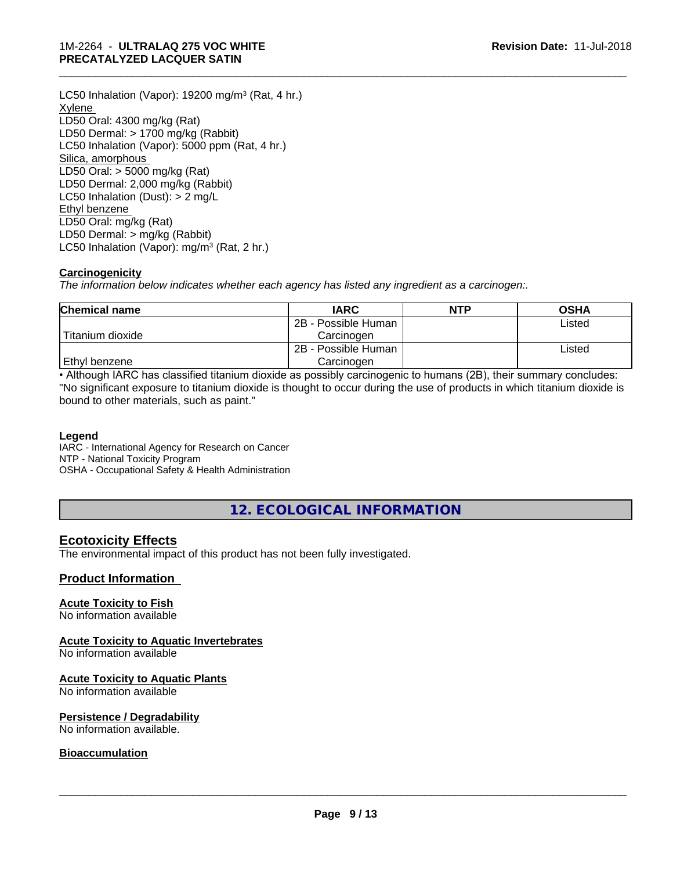LC50 Inhalation (Vapor): 19200 mg/m<sup>3</sup> (Rat, 4 hr.) **Xylene** LD50 Oral: 4300 mg/kg (Rat) LD50 Dermal: > 1700 mg/kg (Rabbit) LC50 Inhalation (Vapor): 5000 ppm (Rat, 4 hr.) Silica, amorphous LD50 Oral: > 5000 mg/kg (Rat) LD50 Dermal: 2,000 mg/kg (Rabbit) LC50 Inhalation (Dust): > 2 mg/L Ethyl benzene LD50 Oral: mg/kg (Rat) LD50 Dermal: > mg/kg (Rabbit) LC50 Inhalation (Vapor): mg/m<sup>3</sup> (Rat, 2 hr.)

# **Carcinogenicity**

*The information below indicateswhether each agency has listed any ingredient as a carcinogen:.*

| <b>Chemical name</b> | <b>IARC</b>         | <b>NTP</b> | <b>OSHA</b> |
|----------------------|---------------------|------------|-------------|
|                      | 2B - Possible Human |            | Listed      |
| Titanium dioxide     | Carcinoɑen          |            |             |
|                      | 2B - Possible Human |            | Listed      |
| Ethyl benzene        | Carcinoɑen          |            |             |

\_\_\_\_\_\_\_\_\_\_\_\_\_\_\_\_\_\_\_\_\_\_\_\_\_\_\_\_\_\_\_\_\_\_\_\_\_\_\_\_\_\_\_\_\_\_\_\_\_\_\_\_\_\_\_\_\_\_\_\_\_\_\_\_\_\_\_\_\_\_\_\_\_\_\_\_\_\_\_\_\_\_\_\_\_\_\_\_\_\_\_\_\_

• Although IARC has classified titanium dioxide as possibly carcinogenic to humans (2B), their summary concludes: "No significant exposure to titanium dioxide is thought to occur during the use of products in which titanium dioxide is bound to other materials, such as paint."

## **Legend**

IARC - International Agency for Research on Cancer NTP - National Toxicity Program OSHA - Occupational Safety & Health Administration

**12. ECOLOGICAL INFORMATION**

# **Ecotoxicity Effects**

The environmental impact of this product has not been fully investigated.

# **Product Information**

## **Acute Toxicity to Fish**

No information available

# **Acute Toxicity to Aquatic Invertebrates**

No information available

## **Acute Toxicity to Aquatic Plants**

No information available

## **Persistence / Degradability**

No information available.

## **Bioaccumulation**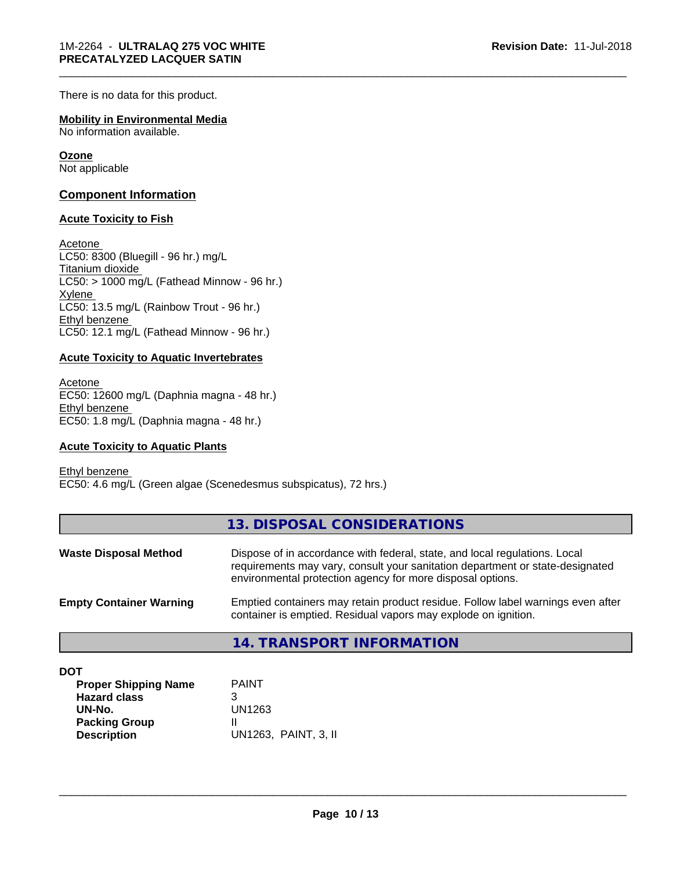There is no data for this product.

#### **Mobility in Environmental Media** No information available.

**Ozone** Not applicable

# **Component Information**

## **Acute Toxicity to Fish**

Acetone LC50: 8300 (Bluegill - 96 hr.) mg/L Titanium dioxide  $LC50:$  > 1000 mg/L (Fathead Minnow - 96 hr.) Xylene LC50: 13.5 mg/L (Rainbow Trout - 96 hr.) Ethyl benzene LC50: 12.1 mg/L (Fathead Minnow - 96 hr.)

## **Acute Toxicity to Aquatic Invertebrates**

Acetone EC50: 12600 mg/L (Daphnia magna - 48 hr.) Ethyl benzene EC50: 1.8 mg/L (Daphnia magna - 48 hr.)

## **Acute Toxicity to Aquatic Plants**

Ethyl benzene EC50: 4.6 mg/L (Green algae (Scenedesmus subspicatus), 72 hrs.)

|                                | 13. DISPOSAL CONSIDERATIONS                                                                                                                                                                                               |
|--------------------------------|---------------------------------------------------------------------------------------------------------------------------------------------------------------------------------------------------------------------------|
| <b>Waste Disposal Method</b>   | Dispose of in accordance with federal, state, and local regulations. Local<br>requirements may vary, consult your sanitation department or state-designated<br>environmental protection agency for more disposal options. |
| <b>Empty Container Warning</b> | Emptied containers may retain product residue. Follow label warnings even after<br>container is emptied. Residual vapors may explode on ignition.                                                                         |
|                                | 14. TRANSPORT INFORMATION                                                                                                                                                                                                 |

\_\_\_\_\_\_\_\_\_\_\_\_\_\_\_\_\_\_\_\_\_\_\_\_\_\_\_\_\_\_\_\_\_\_\_\_\_\_\_\_\_\_\_\_\_\_\_\_\_\_\_\_\_\_\_\_\_\_\_\_\_\_\_\_\_\_\_\_\_\_\_\_\_\_\_\_\_\_\_\_\_\_\_\_\_\_\_\_\_\_\_\_\_

**DOT**

| <b>Proper Shipping Name</b> | <b>PAINT</b>         |
|-----------------------------|----------------------|
| <b>Hazard class</b>         |                      |
| UN-No.                      | UN1263               |
| <b>Packing Group</b>        |                      |
| <b>Description</b>          | UN1263, PAINT, 3, II |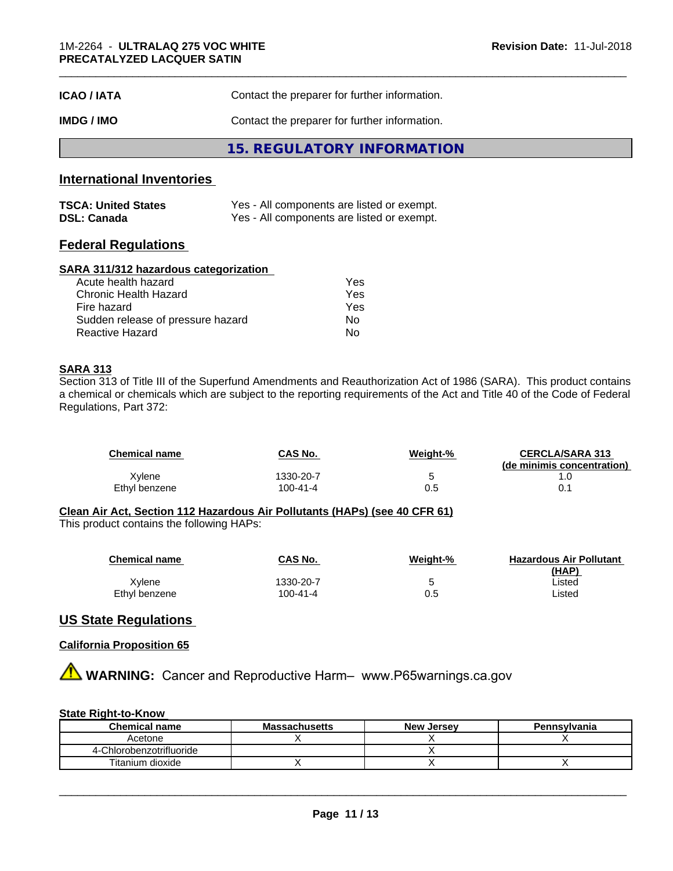| <b>ICAO/IATA</b> | Contact the preparer for further information. |
|------------------|-----------------------------------------------|
| IMDG / IMO       | Contact the preparer for further information. |
|                  | 15. REGULATORY INFORMATION                    |

# **International Inventories**

| <b>TSCA: United States</b> | Yes - All components are listed or exempt. |
|----------------------------|--------------------------------------------|
| <b>DSL: Canada</b>         | Yes - All components are listed or exempt. |

# **Federal Regulations**

## **SARA 311/312 hazardous categorization**

| Acute health hazard               | Yes |  |
|-----------------------------------|-----|--|
| Chronic Health Hazard             | Yes |  |
| Fire hazard                       | Yes |  |
| Sudden release of pressure hazard | Nο  |  |
| Reactive Hazard                   | Nο  |  |

## **SARA 313**

Section 313 of Title III of the Superfund Amendments and Reauthorization Act of 1986 (SARA). This product contains a chemical or chemicals which are subject to the reporting requirements of the Act and Title 40 of the Code of Federal Regulations, Part 372:

| <b>Chemical name</b> | CAS No.   | Weiaht-% | <b>CERCLA/SARA 313</b><br>(de minimis concentration) |
|----------------------|-----------|----------|------------------------------------------------------|
| Xvlene               | 1330-20-7 |          | . .U                                                 |
| Ethyl benzene        | 100-41-4  | U.5      |                                                      |

# **Clean Air Act,Section 112 Hazardous Air Pollutants (HAPs) (see 40 CFR 61)**

This product contains the following HAPs:

| <b>Chemical name</b> | <b>CAS No.</b> | Weight-% | <b>Hazardous Air Pollutant</b> |
|----------------------|----------------|----------|--------------------------------|
|                      |                |          | (HAP)                          |
| Xvlene               | 1330-20-7      | ບ        | ∟isted                         |
| Ethyl benzene        | 100-41-4       | 0.5      | ∟isted                         |

# **US State Regulations**

## **California Proposition 65**

**A WARNING:** Cancer and Reproductive Harm– www.P65warnings.ca.gov

## **State Right-to-Know**

| <b>Chemical name</b>     | <b>Massachusetts</b> | <b>New Jersey</b> | Pennsylvania |
|--------------------------|----------------------|-------------------|--------------|
| Acetone                  |                      |                   |              |
| 4-Chlorobenzotrifluoride |                      |                   |              |
| Titanium dioxide         |                      |                   |              |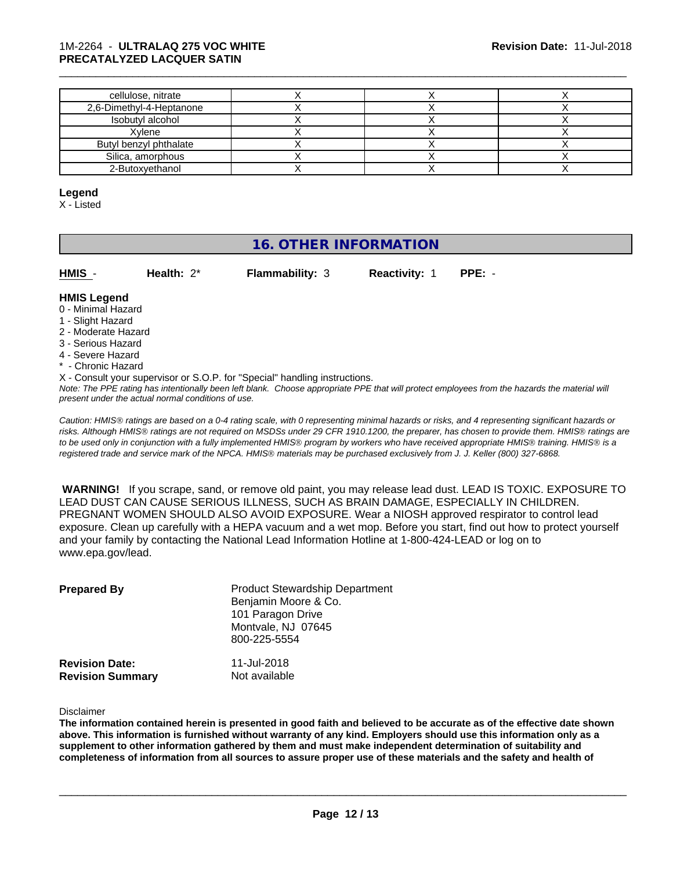## 1M-2264 - **ULTRALAQ 275 VOC WHITE PRECATALYZED LACQUER SATIN**

| cellulose, nitrate       |  |  |
|--------------------------|--|--|
| 2,6-Dimethyl-4-Heptanone |  |  |
| Isobutyl alcohol         |  |  |
| Xvlene                   |  |  |
| Butyl benzyl phthalate   |  |  |
| Silica, amorphous        |  |  |
| 2-Butoxvethanol          |  |  |

#### **Legend**

X - Listed

# **16. OTHER INFORMATION**

| г | нмі |  |  |
|---|-----|--|--|

**Health:**  $2^*$  **Flammability:** 3 **Reactivity:** 1 **PPE:** -

\_\_\_\_\_\_\_\_\_\_\_\_\_\_\_\_\_\_\_\_\_\_\_\_\_\_\_\_\_\_\_\_\_\_\_\_\_\_\_\_\_\_\_\_\_\_\_\_\_\_\_\_\_\_\_\_\_\_\_\_\_\_\_\_\_\_\_\_\_\_\_\_\_\_\_\_\_\_\_\_\_\_\_\_\_\_\_\_\_\_\_\_\_

#### **HMIS Legend**

- 0 Minimal Hazard
- 1 Slight Hazard
- 2 Moderate Hazard
- 3 Serious Hazard
- 4 Severe Hazard
- \* Chronic Hazard
- X Consult your supervisor or S.O.P. for "Special" handling instructions.

*Note: The PPE rating has intentionally been left blank. Choose appropriate PPE that will protect employees from the hazards the material will present under the actual normal conditions of use.*

*Caution: HMISÒ ratings are based on a 0-4 rating scale, with 0 representing minimal hazards or risks, and 4 representing significant hazards or risks. Although HMISÒ ratings are not required on MSDSs under 29 CFR 1910.1200, the preparer, has chosen to provide them. HMISÒ ratings are to be used only in conjunction with a fully implemented HMISÒ program by workers who have received appropriate HMISÒ training. HMISÒ is a registered trade and service mark of the NPCA. HMISÒ materials may be purchased exclusively from J. J. Keller (800) 327-6868.*

 **WARNING!** If you scrape, sand, or remove old paint, you may release lead dust. LEAD IS TOXIC. EXPOSURE TO LEAD DUST CAN CAUSE SERIOUS ILLNESS, SUCH AS BRAIN DAMAGE, ESPECIALLY IN CHILDREN. PREGNANT WOMEN SHOULD ALSO AVOID EXPOSURE.Wear a NIOSH approved respirator to control lead exposure. Clean up carefully with a HEPA vacuum and a wet mop. Before you start, find out how to protect yourself and your family by contacting the National Lead Information Hotline at 1-800-424-LEAD or log on to www.epa.gov/lead.

| <b>Prepared By</b>                               | <b>Product Stewardship Department</b><br>Benjamin Moore & Co.<br>101 Paragon Drive<br>Montvale, NJ 07645<br>800-225-5554 |  |
|--------------------------------------------------|--------------------------------------------------------------------------------------------------------------------------|--|
| <b>Revision Date:</b><br><b>Revision Summary</b> | 11-Jul-2018<br>Not available                                                                                             |  |

Disclaimer

The information contained herein is presented in good faith and believed to be accurate as of the effective date shown above. This information is furnished without warranty of any kind. Employers should use this information only as a **supplement to other information gathered by them and must make independent determination of suitability and** completeness of information from all sources to assure proper use of these materials and the safety and health of